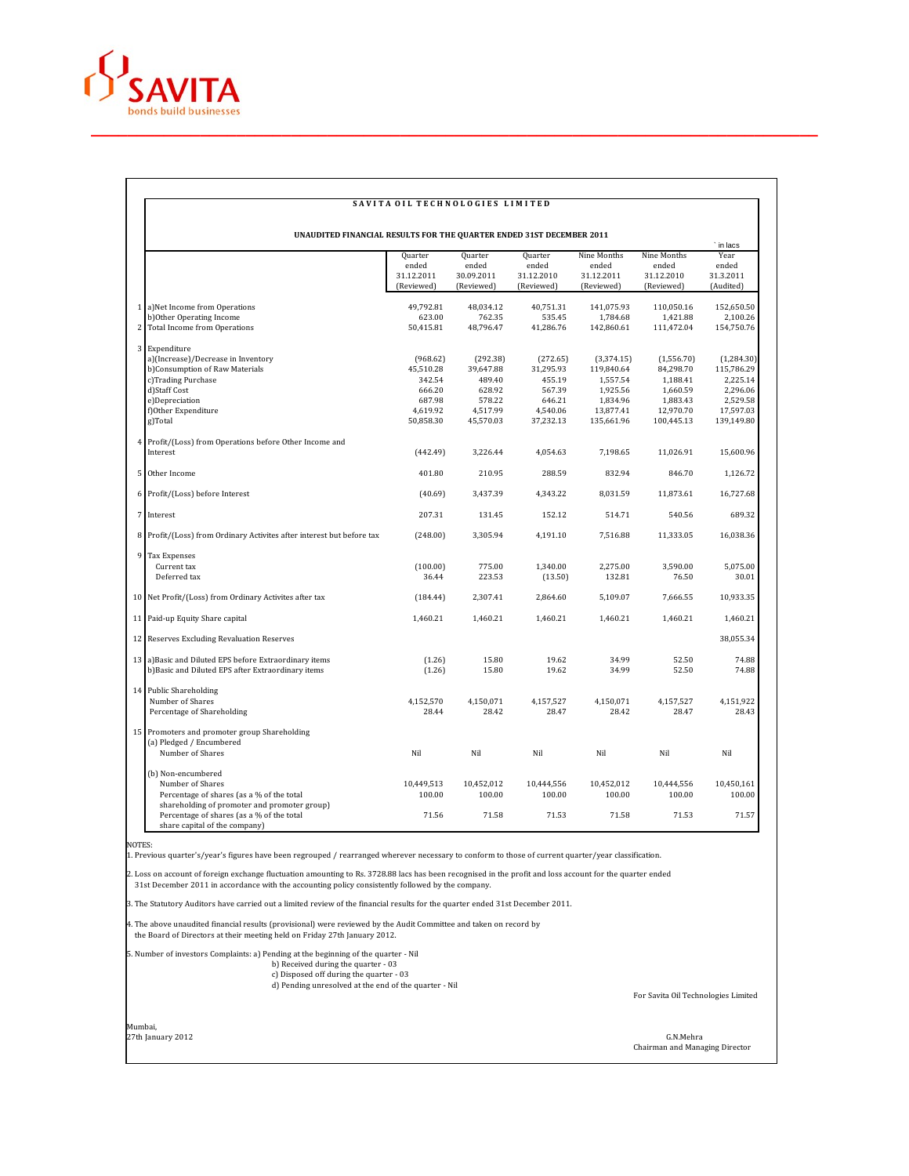

## SAVITA OIL TECHNOLOGIES LIMITED

| UNAUDITED FINANCIAL RESULTS FOR THE QUARTER ENDED 31ST DECEMBER 2011 |                                                                                           |            |            |            |             |             |                   |  |
|----------------------------------------------------------------------|-------------------------------------------------------------------------------------------|------------|------------|------------|-------------|-------------|-------------------|--|
|                                                                      |                                                                                           | Quarter    | Quarter    | Quarter    | Nine Months | Nine Months | ` in lacs<br>Year |  |
|                                                                      |                                                                                           | ended      | ended      | ended      | ended       | ended       | ended             |  |
|                                                                      |                                                                                           | 31.12.2011 | 30.09.2011 | 31.12.2010 | 31.12.2011  | 31.12.2010  | 31.3.2011         |  |
|                                                                      |                                                                                           | (Reviewed) | (Reviewed) | (Reviewed) | (Reviewed)  | (Reviewed)  | (Audited)         |  |
|                                                                      | 1 a) Net Income from Operations                                                           | 49.792.81  | 48,034.12  | 40.751.31  | 141,075.93  | 110,050.16  | 152.650.50        |  |
|                                                                      | b) Other Operating Income                                                                 | 623.00     | 762.35     | 535.45     | 1,784.68    | 1,421.88    | 2,100.26          |  |
| 2                                                                    | Total Income from Operations                                                              | 50,415.81  | 48,796.47  | 41,286.76  | 142,860.61  | 111,472.04  | 154,750.76        |  |
|                                                                      | 3 Expenditure                                                                             |            |            |            |             |             |                   |  |
|                                                                      | a)(Increase)/Decrease in Inventory                                                        | (968.62)   | (292.38)   | (272.65)   | (3,374.15)  | (1,556.70)  | (1,284.30)        |  |
|                                                                      | b)Consumption of Raw Materials                                                            | 45,510.28  | 39,647.88  | 31,295.93  | 119,840.64  | 84,298.70   | 115,786.29        |  |
|                                                                      | c)Trading Purchase                                                                        | 342.54     | 489.40     | 455.19     | 1,557.54    | 1,188.41    | 2,225.14          |  |
|                                                                      | d)Staff Cost                                                                              | 666.20     | 628.92     | 567.39     | 1,925.56    | 1,660.59    | 2,296.06          |  |
|                                                                      | e)Depreciation                                                                            | 687.98     | 578.22     | 646.21     | 1,834.96    | 1,883.43    | 2,529.58          |  |
|                                                                      | f)Other Expenditure                                                                       | 4,619.92   | 4,517.99   | 4,540.06   | 13,877.41   | 12,970.70   | 17,597.03         |  |
|                                                                      | g)Total                                                                                   | 50,858.30  | 45,570.03  | 37,232.13  | 135,661.96  | 100,445.13  | 139,149.80        |  |
| 4                                                                    | Profit/(Loss) from Operations before Other Income and                                     |            |            |            |             |             |                   |  |
|                                                                      | Interest                                                                                  | (442.49)   | 3,226.44   | 4,054.63   | 7,198.65    | 11,026.91   | 15,600.96         |  |
|                                                                      | 5 Other Income                                                                            | 401.80     | 210.95     | 288.59     | 832.94      | 846.70      | 1,126.72          |  |
|                                                                      | 6 Profit/(Loss) before Interest                                                           | (40.69)    | 3,437.39   | 4,343.22   | 8,031.59    | 11,873.61   | 16,727.68         |  |
|                                                                      | 7 Interest                                                                                | 207.31     | 131.45     | 152.12     | 514.71      | 540.56      | 689.32            |  |
|                                                                      | 8 Profit/(Loss) from Ordinary Activites after interest but before tax                     | (248.00)   | 3,305.94   | 4,191.10   | 7,516.88    | 11,333.05   | 16,038.36         |  |
|                                                                      | 9 Tax Expenses                                                                            |            |            |            |             |             |                   |  |
|                                                                      | Current tax                                                                               | (100.00)   | 775.00     | 1,340.00   | 2,275.00    | 3,590.00    | 5,075.00          |  |
|                                                                      | Deferred tax                                                                              | 36.44      | 223.53     | (13.50)    | 132.81      | 76.50       | 30.01             |  |
| 10                                                                   | Net Profit/(Loss) from Ordinary Activites after tax                                       | (184.44)   | 2,307.41   | 2,864.60   | 5,109.07    | 7,666.55    | 10,933.35         |  |
|                                                                      | 11 Paid-up Equity Share capital                                                           | 1,460.21   | 1,460.21   | 1,460.21   | 1,460.21    | 1,460.21    | 1,460.21          |  |
|                                                                      | 12 Reserves Excluding Revaluation Reserves                                                |            |            |            |             |             | 38,055.34         |  |
|                                                                      | 13 a) Basic and Diluted EPS before Extraordinary items                                    | (1.26)     | 15.80      | 19.62      | 34.99       | 52.50       | 74.88             |  |
|                                                                      | b)Basic and Diluted EPS after Extraordinary items                                         | (1.26)     | 15.80      | 19.62      | 34.99       | 52.50       | 74.88             |  |
|                                                                      | 14 Public Shareholding                                                                    |            |            |            |             |             |                   |  |
|                                                                      | Number of Shares                                                                          | 4,152,570  | 4,150,071  | 4,157,527  | 4,150,071   | 4,157,527   | 4,151,922         |  |
|                                                                      | Percentage of Shareholding                                                                | 28.44      | 28.42      | 28.47      | 28.42       | 28.47       | 28.43             |  |
|                                                                      | 15 Promoters and promoter group Shareholding                                              |            |            |            |             |             |                   |  |
|                                                                      | (a) Pledged / Encumbered                                                                  |            |            |            |             |             |                   |  |
|                                                                      | Number of Shares                                                                          | Nil        | Nil        | Nil        | Nil         | Nil         | Nil               |  |
|                                                                      | (b) Non-encumbered                                                                        |            |            |            |             |             |                   |  |
|                                                                      | Number of Shares                                                                          | 10,449,513 | 10,452,012 | 10,444,556 | 10,452,012  | 10,444,556  | 10,450,161        |  |
|                                                                      | Percentage of shares (as a % of the total<br>shareholding of promoter and promoter group) | 100.00     | 100.00     | 100.00     | 100.00      | 100.00      | 100.00            |  |
|                                                                      | Percentage of shares (as a % of the total<br>share capital of the company)                | 71.56      | 71.58      | 71.53      | 71.58       | 71.53       | 71.57             |  |

NOTES:

1. Previous quarter's/year's figures have been regrouped / rearranged wherever necessary to conform to those of current quarter/year classification.

2. Loss on account of foreign exchange fluctuation amounting to Rs. 3728.88 lacs has been recognised in the profit and loss account for the quarter ended 31st December 2011 in accordance with the accounting policy consistently followed by the company.

3. The Statutory Auditors have carried out a limited review of the financial results for the quarter ended 31st December 2011.

4. The above unaudited financial results (provisional) were reviewed by the Audit Committee and taken on record by the Board of Directors at their meeting held on Friday 27th January 2012.

5. Number of investors Complaints: a) Pending at the beginning of the quarter - Nil b) Received during the quarter - 03 c) Disposed off during the quarter - 03 d) Pending unresolved at the end of the quarter - Nil

For Savita Oil Technologies Limited

Mumbai,

27th January 2012 G.N.Mehra Chairman and Managing Director